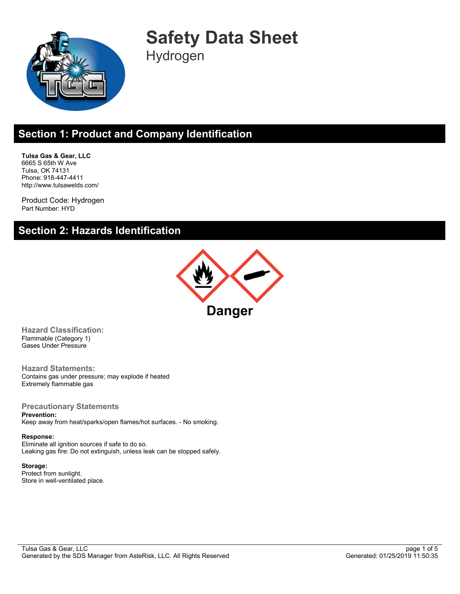

**Safety Data Sheet** Hydrogen

# **Section 1: Product and Company Identification**

**Tulsa Gas & Gear, LLC** 6665 S 65th W Ave Tulsa, OK 74131 Phone: 918-447-4411 http://www.tulsawelds.com/

Product Code: Hydrogen Part Number: HYD

#### **Section 2: Hazards Identification**



**Hazard Classification:** Flammable (Category 1) Gases Under Pressure

**Hazard Statements:** Contains gas under pressure; may explode if heated Extremely flammable gas

**Precautionary Statements Prevention:** Keep away from heat/sparks/open flames/hot surfaces. - No smoking.

#### **Response:**

Eliminate all ignition sources if safe to do so. Leaking gas fire: Do not extinguish, unless leak can be stopped safely.

**Storage:** Protect from sunlight. Store in well-ventilated place.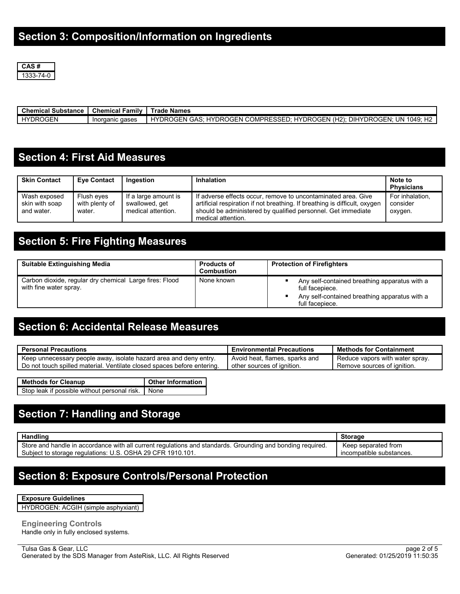

| Chemical Substance | <b>Chemical Family II</b> | <b>Trade Names</b>                                                        |
|--------------------|---------------------------|---------------------------------------------------------------------------|
| HYDROGEN           | Inorganic gases           | HYDROGEN GAS: HYDROGEN COMPRESSED: HYDROGEN (H2): DIHYDROGEN: UN 1049: H2 |

#### **Section 4: First Aid Measures**

| <b>Skin Contact</b>                          | <b>Eve Contact</b>                     | Ingestion                                                    | <b>Inhalation</b>                                                                                                                                                                                                                 | Note to<br><b>Physicians</b>           |
|----------------------------------------------|----------------------------------------|--------------------------------------------------------------|-----------------------------------------------------------------------------------------------------------------------------------------------------------------------------------------------------------------------------------|----------------------------------------|
| Wash exposed<br>skin with soap<br>and water. | Flush eyes<br>with plenty of<br>water. | If a large amount is<br>swallowed, get<br>medical attention. | If adverse effects occur, remove to uncontaminated area. Give<br>artificial respiration if not breathing. If breathing is difficult, oxygen<br>should be administered by qualified personnel. Get immediate<br>medical attention. | For inhalation,<br>consider<br>oxygen. |

# **Section 5: Fire Fighting Measures**

| <b>Suitable Extinguishing Media</b>                                               | <b>Products of</b><br><b>Combustion</b> | <b>Protection of Firefighters</b>                                                                                                    |
|-----------------------------------------------------------------------------------|-----------------------------------------|--------------------------------------------------------------------------------------------------------------------------------------|
| Carbon dioxide, regular dry chemical Large fires: Flood<br>with fine water spray. | None known                              | Any self-contained breathing apparatus with a<br>full facepiece.<br>Any self-contained breathing apparatus with a<br>full facepiece. |

### **Section 6: Accidental Release Measures**

| <b>Personal Precautions</b>                                             | <b>Environmental Precautions</b> | <b>Methods for Containment</b>  |
|-------------------------------------------------------------------------|----------------------------------|---------------------------------|
| Keep unnecessary people away, isolate hazard area and deny entry.       | Avoid heat, flames, sparks and   | Reduce vapors with water spray. |
| Do not touch spilled material. Ventilate closed spaces before entering. | other sources of ignition.       | Remove sources of ignition.     |

**Methods for Cleanup Other Information** Stop leak if possible without personal risk. None

### **Section 7: Handling and Storage**

| Handling                                                                                                   | <b>Storage</b>           |
|------------------------------------------------------------------------------------------------------------|--------------------------|
| Store and handle in accordance with all current regulations and standards. Grounding and bonding required. | Keep separated from      |
| Subiect to storage regulations: U.S. OSHA 29 CFR 1910.101.                                                 | incompatible substances. |

#### **Section 8: Exposure Controls/Personal Protection**

| <b>Exposure Guidelines</b> |  |
|----------------------------|--|
|----------------------------|--|

HYDROGEN: ACGIH (simple asphyxiant)

**Engineering Controls** Handle only in fully enclosed systems.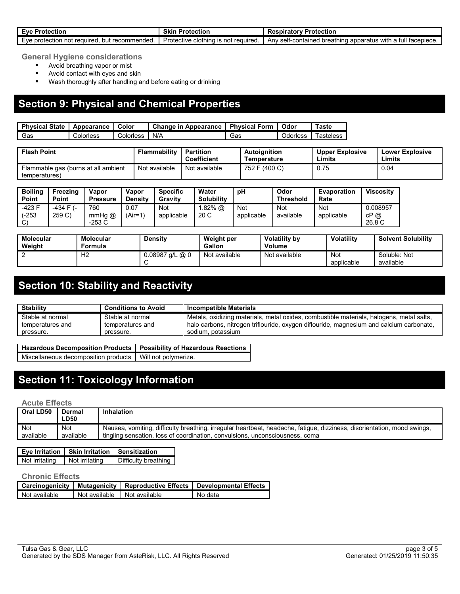| . Protection<br>Eve F<br>. .                                                  | Skin<br>Protection                                    | <b>Respiratory Protection</b>                                                                             |
|-------------------------------------------------------------------------------|-------------------------------------------------------|-----------------------------------------------------------------------------------------------------------|
| recommended.<br>$\cdots$<br>∟∨е<br>protection<br>222<br>no<br>nıit<br>w<br>wu | Protective<br>f required<br>: clothina<br>not<br>- IS | , breathing<br>-contained<br>apparatus with a<br>tacepiece.<br>Anv<br><b>001+</b><br>- 1411<br>uv.<br>. . |

**General Hygiene considerations**

- **Avoid breathing vapor or mist**
- **Avoid contact with eyes and skin**
- **Wash thoroughly after handling and before eating or drinking**

### **Section 9: Physical and Chemical Properties**

| <b>Physical State</b> | Appearance | Color     | <b>Change in Appearance</b> | <b>Physical Form</b> | Odor     | Taste     |
|-----------------------|------------|-----------|-----------------------------|----------------------|----------|-----------|
| Gas                   | Colorless  | Colorless | N/A                         | Gas                  | Odorless | ⊺asteless |

| <b>Flash Point</b>                  | Flammability  | Partition<br><b>Coefficient</b> | <b>Autoianition</b><br>Temperature | <b>Upper Explosive</b><br>Limits | <b>Lower Explosive</b><br><b>Limits</b> |
|-------------------------------------|---------------|---------------------------------|------------------------------------|----------------------------------|-----------------------------------------|
| Flammable gas (burns at all ambient | Not available | Not available                   | 752 F (400 C)                      | 0.75                             | 0.04                                    |
| temperatures)                       |               |                                 |                                    |                                  |                                         |

| <b>Boiling</b><br>Point           | Freezing<br><b>Point</b> | Vapor<br><b>Pressure</b>    | Vapor<br><b>Density</b> | <b>Specific</b><br>Gravity | Water<br><b>Solubility</b> | рH                | Odor<br>Threshold       | Evaporation<br>Rate | <b>Viscosity</b>          |
|-----------------------------------|--------------------------|-----------------------------|-------------------------|----------------------------|----------------------------|-------------------|-------------------------|---------------------|---------------------------|
| -423 F<br>$-253$<br>$\mathcal{C}$ | $-434$ F $(-)$<br>259 C) | 760<br>$mmHg$ $@$<br>-253 C | 0.07<br>(Air=1)         | <b>Not</b><br>applicable   | $.82\%$ @<br>20 C          | Not<br>applicable | <b>Not</b><br>available | Not<br>applicable   | 0.008957<br>cP@<br>26.8 C |

| <b>Molecular</b><br>Weight | Molecular<br>Formula | <b>Density</b>    | Weight per<br>Gallon | <b>Volatility by</b><br><b>Volume</b> | Volatility        | <b>Solvent Solubility</b> |
|----------------------------|----------------------|-------------------|----------------------|---------------------------------------|-------------------|---------------------------|
|                            | Н2                   | $0.08987$ g/L @ 0 | Not available        | Not available                         | Not<br>applicable | Soluble: Not<br>available |

## **Section 10: Stability and Reactivity**

| <b>Stability</b> | <b>Conditions to Avoid</b> | <b>Incompatible Materials</b>                                                            |
|------------------|----------------------------|------------------------------------------------------------------------------------------|
| Stable at normal | Stable at normal           | Metals, oxidizing materials, metal oxides, combustible materials, halogens, metal salts, |
| temperatures and | temperatures and           | halo carbons, nitrogen triflouride, oxygen diflouride, magnesium and calcium carbonate,  |
| pressure.        | pressure.                  | sodium, potassium                                                                        |

**Hazardous Decomposition Products Possibility of Hazardous Reactions** Miscellaneous decomposition products | Will not polymerize.

## **Section 11: Toxicology Information**

**Acute Effects**

| Oral LD50  | Dermal<br>∟D50 | Inhalation                                                                                                              |
|------------|----------------|-------------------------------------------------------------------------------------------------------------------------|
| <b>Not</b> | Not            | Nausea, vomiting, difficulty breathing, irregular heartbeat, headache, fatigue, dizziness, disorientation, mood swings, |
| available  | available      | tingling sensation, loss of coordination, convulsions, unconsciousness, coma                                            |

|                | Eye Irritation   Skin Irritation   Sensitization |                      |
|----------------|--------------------------------------------------|----------------------|
| Not irritating | Not irritating                                   | Difficulty breathing |

#### **Chronic Effects**

|               |               |               | Carcinogenicity   Mutagenicity   Reproductive Effects   Developmental Effects |
|---------------|---------------|---------------|-------------------------------------------------------------------------------|
| Not available | Not available | Not available | No data                                                                       |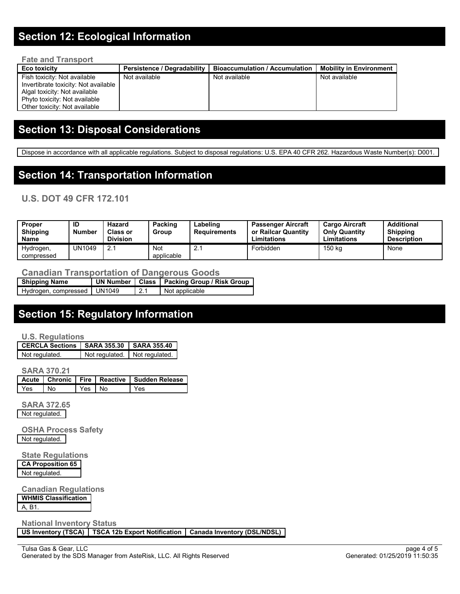### **Section 12: Ecological Information**

| <b>Fate and Transport</b>                                                                                                                                               |                                    |                                       |                                |  |  |  |  |
|-------------------------------------------------------------------------------------------------------------------------------------------------------------------------|------------------------------------|---------------------------------------|--------------------------------|--|--|--|--|
| Eco toxicity                                                                                                                                                            | <b>Persistence / Degradability</b> | <b>Bioaccumulation / Accumulation</b> | <b>Mobility in Environment</b> |  |  |  |  |
| Fish toxicity: Not available<br>Invertibrate toxicity: Not available<br>Algal toxicity. Not available<br>Phyto toxicity: Not available<br>Other toxicity: Not available | Not available                      | Not available                         | Not available                  |  |  |  |  |

### **Section 13: Disposal Considerations**

Dispose in accordance with all applicable regulations. Subject to disposal regulations: U.S. EPA 40 CFR 262. Hazardous Waste Number(s): D001.

#### **Section 14: Transportation Information**

#### **U.S. DOT 49 CFR 172.101**

| Proper<br><b>Shipping</b><br><b>Name</b> | ID<br><b>Number</b> | Hazard<br><b>Class or</b><br><b>Division</b> | Packing<br>Group         | Labeling<br>Requirements | <b>Passenger Aircraft</b><br>or Railcar Quantity<br>Limitations | <b>Cargo Aircraft</b><br><b>Only Quantity</b><br>Limitations | Additional<br><b>Shipping</b><br><b>Description</b> |
|------------------------------------------|---------------------|----------------------------------------------|--------------------------|--------------------------|-----------------------------------------------------------------|--------------------------------------------------------------|-----------------------------------------------------|
| Hydrogen,<br>compressed                  | UN1049              | 2.1                                          | <b>Not</b><br>applicable | <u>.</u>                 | Forbidden                                                       | 150 ka                                                       | None                                                |

#### **Canadian Transportation of Dangerous Goods**

| <b>Shipping Name</b>          |     | UN Number   Class   Packing Group / Risk Group |
|-------------------------------|-----|------------------------------------------------|
| Hydrogen, compressed   UN1049 | 2.1 | Not applicable                                 |

## **Section 15: Regulatory Information**

#### **U.S. Regulations**

| Not regulated. | Not regulated. | Not regulated. |
|----------------|----------------|----------------|

**SARA 370.21**

|        |        | Acute   Chronic   Fire   Reactive   Sudden Release |
|--------|--------|----------------------------------------------------|
| Yes No | Yes No | l Yes                                              |

**SARA 372.65** Not regulated.

**OSHA Process Safety** Not regulated.

**State Regulations CA Proposition 65** Not regulated.

**Canadian Regulations WHMIS Classification** A, B1.

**National Inventory Status**

**US Inventory (TSCA) TSCA 12b Export Notification Canada Inventory (DSL/NDSL)**